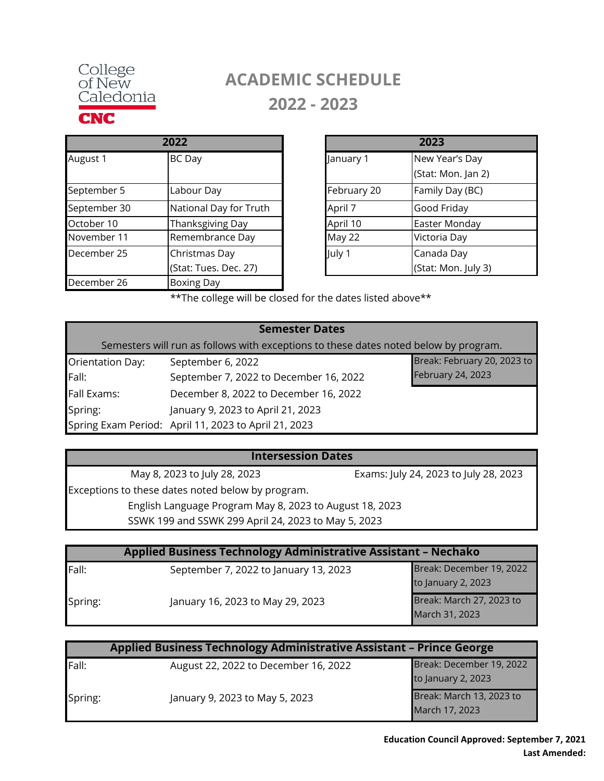

# **ACADEMIC SCHEDULE 2022 - 2023**

|              | 2022                   |             |
|--------------|------------------------|-------------|
| August 1     | <b>BC</b> Day          | January 1   |
| September 5  | Labour Day             | February 20 |
| September 30 | National Day for Truth | April 7     |
| October 10   | Thanksgiving Day       | April 10    |
| November 11  | Remembrance Day        | May 22      |
| December 25  | Christmas Day          | July 1      |
|              | (Stat: Tues. Dec. 27)  |             |
| December 26  | <b>Boxing Day</b>      |             |

| 2022                   |             | 2023                |
|------------------------|-------------|---------------------|
| <b>BC</b> Day          | January 1   | New Year's Day      |
|                        |             | (Stat: Mon. Jan 2)  |
| Labour Day             | February 20 | Family Day (BC)     |
| National Day for Truth | April 7     | Good Friday         |
| Thanksgiving Day       | April 10    | Easter Monday       |
| Remembrance Day        | May 22      | Victoria Day        |
| Christmas Day          | July 1      | Canada Day          |
| (Stat: Tues. Dec. 27)  |             | (Stat: Mon. July 3) |

\*\*The college will be closed for the dates listed above\*\*

| <b>Semester Dates</b>                                                                |                                                      |                             |
|--------------------------------------------------------------------------------------|------------------------------------------------------|-----------------------------|
| Semesters will run as follows with exceptions to these dates noted below by program. |                                                      |                             |
| Orientation Day:                                                                     | September 6, 2022                                    | Break: February 20, 2023 to |
| Fall:                                                                                | September 7, 2022 to December 16, 2022               | February 24, 2023           |
| <b>Fall Exams:</b>                                                                   | December 8, 2022 to December 16, 2022                |                             |
| Spring:                                                                              | January 9, 2023 to April 21, 2023                    |                             |
|                                                                                      | Spring Exam Period: April 11, 2023 to April 21, 2023 |                             |

### **Intersession Dates**

Exceptions to these dates noted below by program. English Language Program May 8, 2023 to August 18, 2023 SSWK 199 and SSWK 299 April 24, 2023 to May 5, 2023 May 8, 2023 to July 28, 2023 Exams: July 24, 2023 to July 28, 2023

| Applied Business Technology Administrative Assistant - Nechako |                                       |                          |
|----------------------------------------------------------------|---------------------------------------|--------------------------|
| Fall:                                                          | September 7, 2022 to January 13, 2023 | Break: December 19, 2022 |
|                                                                |                                       | to January 2, 2023       |
| Spring:                                                        | January 16, 2023 to May 29, 2023      | Break: March 27, 2023 to |
|                                                                |                                       | March 31, 2023           |

| <b>Applied Business Technology Administrative Assistant - Prince George</b> |                                      |                          |
|-----------------------------------------------------------------------------|--------------------------------------|--------------------------|
| Fall:                                                                       | August 22, 2022 to December 16, 2022 | Break: December 19, 2022 |
|                                                                             |                                      | to January 2, 2023       |
| Spring:                                                                     | January 9, 2023 to May 5, 2023       | Break: March 13, 2023 to |
|                                                                             |                                      | March 17, 2023           |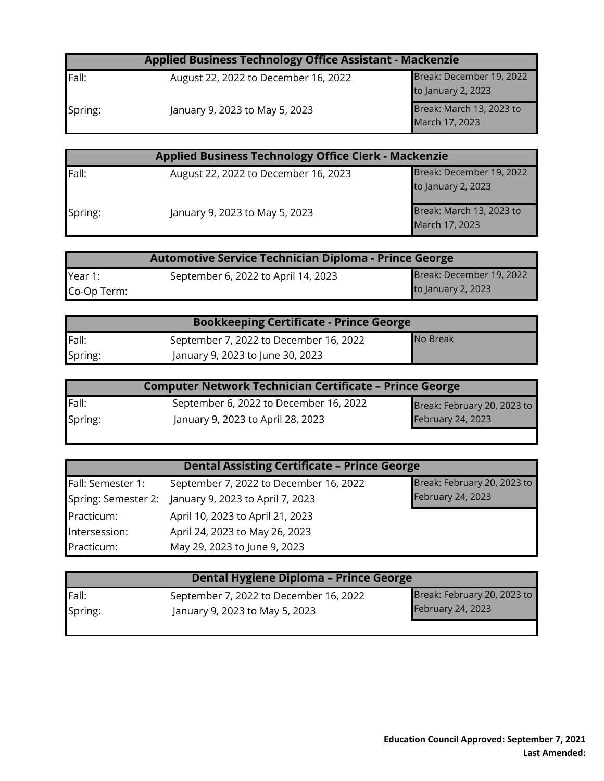| <b>Applied Business Technology Office Assistant - Mackenzie</b> |                                      |                                                |
|-----------------------------------------------------------------|--------------------------------------|------------------------------------------------|
| Fall:                                                           | August 22, 2022 to December 16, 2022 | Break: December 19, 2022<br>to January 2, 2023 |
| Spring:                                                         | January 9, 2023 to May 5, 2023       | Break: March 13, 2023 to<br>March 17, 2023     |

| <b>Applied Business Technology Office Clerk - Mackenzie</b> |                                      |                          |
|-------------------------------------------------------------|--------------------------------------|--------------------------|
| Fall:                                                       | August 22, 2022 to December 16, 2023 | Break: December 19, 2022 |
|                                                             |                                      | to January 2, 2023       |
| Spring:                                                     | January 9, 2023 to May 5, 2023       | Break: March 13, 2023 to |
|                                                             |                                      | March 17, 2023           |

| Automotive Service Technician Diploma - Prince George |                                     |                          |
|-------------------------------------------------------|-------------------------------------|--------------------------|
| Year 1:                                               | September 6, 2022 to April 14, 2023 | Break: December 19, 2022 |
| Co-Op Term:                                           |                                     | to January 2, 2023       |

| <b>Bookkeeping Certificate - Prince George</b> |                                        |                 |
|------------------------------------------------|----------------------------------------|-----------------|
| Fall:                                          | September 7, 2022 to December 16, 2022 | <b>No Break</b> |
| Spring:                                        | January 9, 2023 to June 30, 2023       |                 |

| <b>Computer Network Technician Certificate - Prince George</b> |                                        |                             |
|----------------------------------------------------------------|----------------------------------------|-----------------------------|
| Fall:                                                          | September 6, 2022 to December 16, 2022 | Break: February 20, 2023 to |
| Spring:                                                        | January 9, 2023 to April 28, 2023      | February 24, 2023           |
|                                                                |                                        |                             |

| <b>Dental Assisting Certificate - Prince George</b> |                                                      |                             |
|-----------------------------------------------------|------------------------------------------------------|-----------------------------|
| Fall: Semester 1:                                   | September 7, 2022 to December 16, 2022               | Break: February 20, 2023 to |
|                                                     | Spring: Semester 2: January 9, 2023 to April 7, 2023 | February 24, 2023           |
| Practicum:                                          | April 10, 2023 to April 21, 2023                     |                             |
| Intersession:                                       | April 24, 2023 to May 26, 2023                       |                             |
| Practicum:                                          | May 29, 2023 to June 9, 2023                         |                             |

| <b>Dental Hygiene Diploma - Prince George</b> |                                                                          |                                                         |
|-----------------------------------------------|--------------------------------------------------------------------------|---------------------------------------------------------|
| <b>Fall:</b><br>Spring:                       | September 7, 2022 to December 16, 2022<br>January 9, 2023 to May 5, 2023 | Break: February 20, 2023 to<br><b>February 24, 2023</b> |
|                                               |                                                                          |                                                         |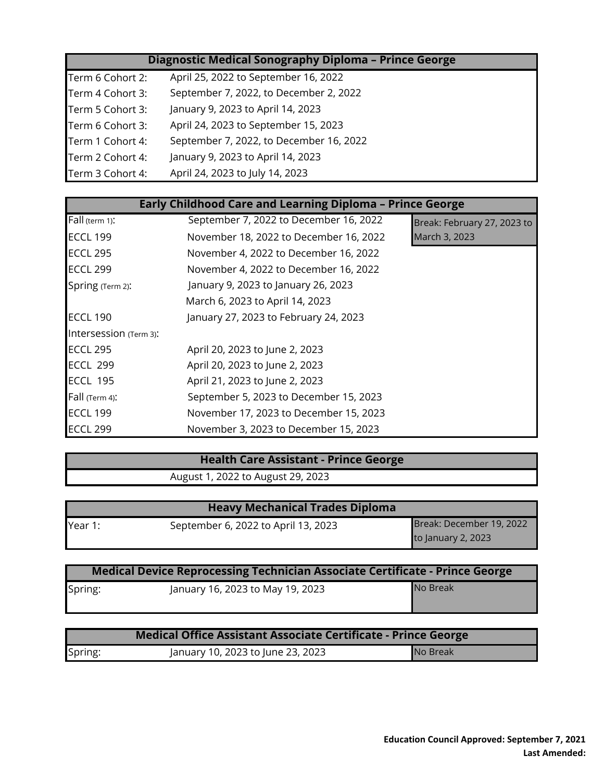### **Diagnostic Medical Sonography Diploma – Prince George**

| Term 6 Cohort 2: | April 25, 2022 to September 16, 2022    |
|------------------|-----------------------------------------|
| Term 4 Cohort 3: | September 7, 2022, to December 2, 2022  |
| Term 5 Cohort 3: | January 9, 2023 to April 14, 2023       |
| Term 6 Cohort 3: | April 24, 2023 to September 15, 2023    |
| Term 1 Cohort 4: | September 7, 2022, to December 16, 2022 |
| Term 2 Cohort 4: | January 9, 2023 to April 14, 2023       |
| Term 3 Cohort 4: | April 24, 2023 to July 14, 2023         |

| <b>Early Childhood Care and Learning Diploma - Prince George</b> |                                        |                             |  |
|------------------------------------------------------------------|----------------------------------------|-----------------------------|--|
| Fall (term 1):                                                   | September 7, 2022 to December 16, 2022 | Break: February 27, 2023 to |  |
| <b>ECCL 199</b>                                                  | November 18, 2022 to December 16, 2022 | March 3, 2023               |  |
| <b>ECCL 295</b>                                                  | November 4, 2022 to December 16, 2022  |                             |  |
| <b>ECCL 299</b>                                                  | November 4, 2022 to December 16, 2022  |                             |  |
| Spring (Term 2):                                                 | January 9, 2023 to January 26, 2023    |                             |  |
|                                                                  | March 6, 2023 to April 14, 2023        |                             |  |
| <b>ECCL 190</b>                                                  | January 27, 2023 to February 24, 2023  |                             |  |
| Intersession (Term 3):                                           |                                        |                             |  |
| <b>ECCL 295</b>                                                  | April 20, 2023 to June 2, 2023         |                             |  |
| <b>ECCL 299</b>                                                  | April 20, 2023 to June 2, 2023         |                             |  |
| <b>ECCL 195</b>                                                  | April 21, 2023 to June 2, 2023         |                             |  |
| Fall (Term 4):                                                   | September 5, 2023 to December 15, 2023 |                             |  |
| <b>ECCL 199</b>                                                  | November 17, 2023 to December 15, 2023 |                             |  |

# **Health Care Assistant - Prince George**

August 1, 2022 to August 29, 2023

ECCL 299 November 3, 2023 to December 15, 2023

| <b>Heavy Mechanical Trades Diploma</b> |                                     |                          |
|----------------------------------------|-------------------------------------|--------------------------|
| Year 1:                                | September 6, 2022 to April 13, 2023 | Break: December 19, 2022 |
|                                        |                                     | to January 2, 2023       |

| Medical Device Reprocessing Technician Associate Certificate - Prince George |                                  |          |
|------------------------------------------------------------------------------|----------------------------------|----------|
| Spring:                                                                      | January 16, 2023 to May 19, 2023 | No Break |

|         | Medical Office Assistant Associate Certificate - Prince George |          |
|---------|----------------------------------------------------------------|----------|
| Spring: | January 10, 2023 to June 23, 2023                              | No Break |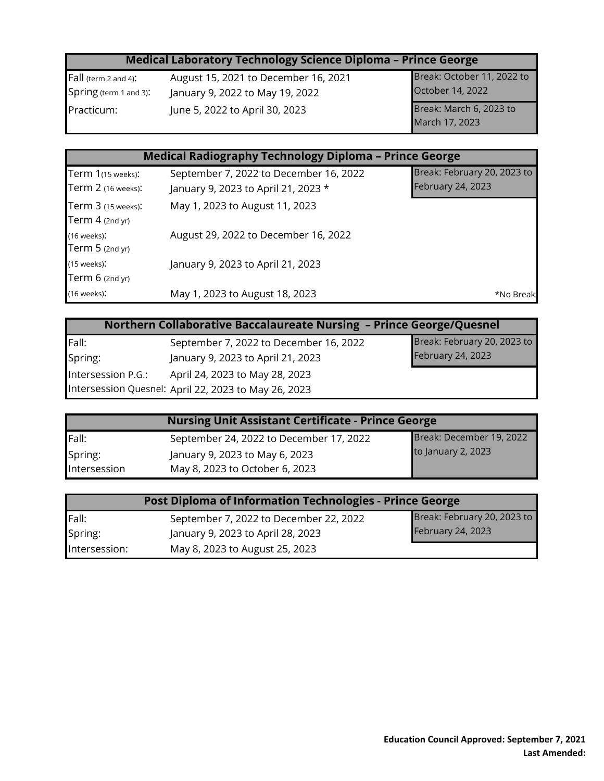### **Medical Laboratory Technology Science Diploma – Prince George**

Fall (term 2 and 4): August 15, 2021 to December 16, 2021 Spring (term 1 and 3): January 9, 2022 to May 19, 2022 Practicum: June 5, 2022 to April 30, 2023

Break: March 6, 2023 to March 17, 2023 Break: October 11, 2022 to October 14, 2022

## **Medical Radiography Technology Diploma – Prince George**

| Term 1(15 weeks):                           | September 7, 2022 to December 16, 2022 | Break: February 20, 2023 to |
|---------------------------------------------|----------------------------------------|-----------------------------|
| Term 2 (16 weeks):                          | January 9, 2023 to April 21, 2023 *    | February 24, 2023           |
| Term 3 (15 weeks):<br>Term $4$ (2nd yr)     | May 1, 2023 to August 11, 2023         |                             |
| $(16$ weeks):<br>Term $5$ (2nd yr)          | August 29, 2022 to December 16, 2022   |                             |
| $(15 \text{ weeks})$ :<br>Term $6$ (2nd yr) | January 9, 2023 to April 21, 2023      |                             |
| $(16$ weeks):                               | May 1, 2023 to August 18, 2023         | *No Break                   |

| Northern Collaborative Baccalaureate Nursing - Prince George/Quesnel |                                        |                             |
|----------------------------------------------------------------------|----------------------------------------|-----------------------------|
| Fall:                                                                | September 7, 2022 to December 16, 2022 | Break: February 20, 2023 to |
| Spring:                                                              | January 9, 2023 to April 21, 2023      | February 24, 2023           |
| Intersession P.G.:<br>April 24, 2023 to May 28, 2023                 |                                        |                             |
| Intersession Quesnel: April 22, 2023 to May 26, 2023                 |                                        |                             |

| <b>Nursing Unit Assistant Certificate - Prince George</b> |                                         |                          |
|-----------------------------------------------------------|-----------------------------------------|--------------------------|
| Fall:                                                     | September 24, 2022 to December 17, 2022 | Break: December 19, 2022 |
| Spring:                                                   | January 9, 2023 to May 6, 2023          | to January 2, 2023       |
| Intersession                                              | May 8, 2023 to October 6, 2023          |                          |

| Post Diploma of Information Technologies - Prince George |                                        |                             |
|----------------------------------------------------------|----------------------------------------|-----------------------------|
| Fall:                                                    | September 7, 2022 to December 22, 2022 | Break: February 20, 2023 to |
| Spring:                                                  | January 9, 2023 to April 28, 2023      | <b>February 24, 2023</b>    |
| Intersession:                                            | May 8, 2023 to August 25, 2023         |                             |